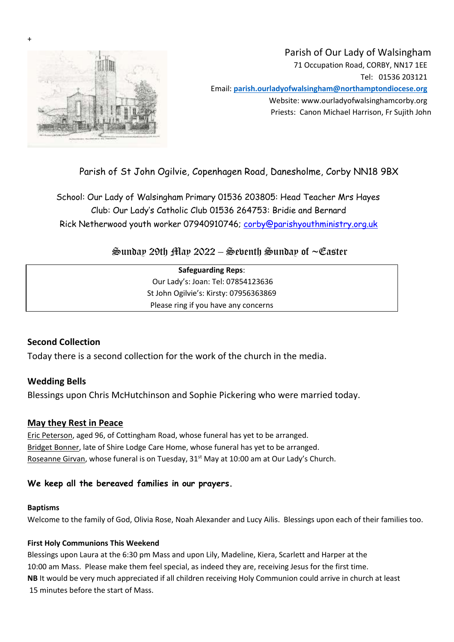

+

# Parish of Our Lady of Walsingham 71 Occupation Road, CORBY, NN17 1EE Tel: 01536 203121 Email: **parish.ourladyofwalsingham@northamptondiocese.org** Website: www.ourladyofwalsinghamcorby.org Priests: Canon Michael Harrison, Fr Sujith John

# Parish of St John Ogilvie, Copenhagen Road, Danesholme, Corby NN18 9BX

School: Our Lady of Walsingham Primary 01536 203805: Head Teacher Mrs Hayes Club: Our Lady's Catholic Club 01536 264753: Bridie and Bernard Rick Netherwood youth worker 07940910746; corby@parishyouthministry.org.uk

 $\mathfrak{S}$ unday 29th May 2022 – Sebenth Sunday of  $\sim$ Easter

| <b>Safeguarding Reps:</b>              |  |
|----------------------------------------|--|
| Our Lady's: Joan: Tel: 07854123636     |  |
| St John Ogilvie's: Kirsty: 07956363869 |  |
| Please ring if you have any concerns   |  |
|                                        |  |

## **Second Collection**

Today there is a second collection for the work of the church in the media.

**Wedding Bells** Blessings upon Chris McHutchinson and Sophie Pickering who were married today.

#### **May they Rest in Peace**

Eric Peterson, aged 96, of Cottingham Road, whose funeral has yet to be arranged. Bridget Bonner, late of Shire Lodge Care Home, whose funeral has yet to be arranged. Roseanne Girvan, whose funeral is on Tuesday,  $31<sup>st</sup>$  May at 10:00 am at Our Lady's Church.

#### **We keep all the bereaved families in our prayers.**

#### **Baptisms**

Welcome to the family of God, Olivia Rose, Noah Alexander and Lucy Ailis. Blessings upon each of their families too.

#### **First Holy Communions This Weekend**

Blessings upon Laura at the 6:30 pm Mass and upon Lily, Madeline, Kiera, Scarlett and Harper at the 10:00 am Mass. Please make them feel special, as indeed they are, receiving Jesus for the first time. **NB** It would be very much appreciated if all children receiving Holy Communion could arrive in church at least 15 minutes before the start of Mass.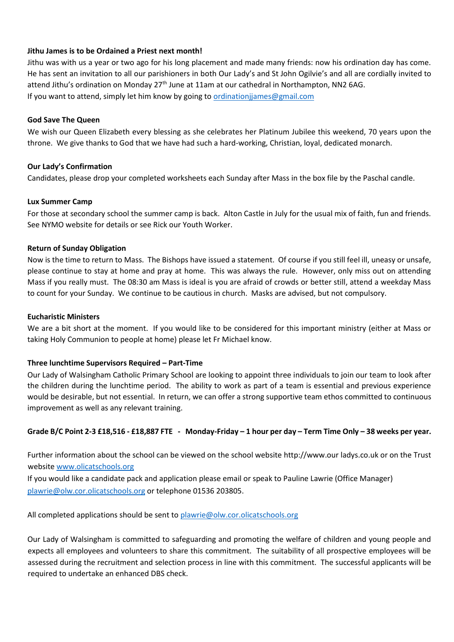#### **Jithu James is to be Ordained a Priest next month!**

Jithu was with us a year or two ago for his long placement and made many friends: now his ordination day has come. He has sent an invitation to all our parishioners in both Our Lady's and St John Ogilvie's and all are cordially invited to attend Jithu's ordination on Monday 27<sup>th</sup> June at 11am at our cathedral in Northampton, NN2 6AG. If you want to attend, simply let him know by going to [ordinationjjames@gmail.com](mailto:ordinationjjames@gmail.com)

#### **God Save The Queen**

We wish our Queen Elizabeth every blessing as she celebrates her Platinum Jubilee this weekend, 70 years upon the throne. We give thanks to God that we have had such a hard-working, Christian, loyal, dedicated monarch.

#### **Our Lady's Confirmation**

Candidates, please drop your completed worksheets each Sunday after Mass in the box file by the Paschal candle.

#### **Lux Summer Camp**

For those at secondary school the summer camp is back. Alton Castle in July for the usual mix of faith, fun and friends. See NYMO website for details or see Rick our Youth Worker.

#### **Return of Sunday Obligation**

Now is the time to return to Mass. The Bishops have issued a statement. Of course if you still feel ill, uneasy or unsafe, please continue to stay at home and pray at home. This was always the rule. However, only miss out on attending Mass if you really must. The 08:30 am Mass is ideal is you are afraid of crowds or better still, attend a weekday Mass to count for your Sunday. We continue to be cautious in church. Masks are advised, but not compulsory.

#### **Eucharistic Ministers**

We are a bit short at the moment. If you would like to be considered for this important ministry (either at Mass or taking Holy Communion to people at home) please let Fr Michael know.

#### **Three lunchtime Supervisors Required – Part-Time**

Our Lady of Walsingham Catholic Primary School are looking to appoint three individuals to join our team to look after the children during the lunchtime period. The ability to work as part of a team is essential and previous experience would be desirable, but not essential. In return, we can offer a strong supportive team ethos committed to continuous improvement as well as any relevant training.

#### **Grade B/C Point 2-3 £18,516 - £18,887 FTE - Monday-Friday – 1 hour per day – Term Time Only – 38 weeks per year.**

Further information about the school can be viewed on the school website http://www.our ladys.co.uk or on the Trust website [www.olicatschools.org](http://www.olicatschools.org/)

If you would like a candidate pack and application please email or speak to Pauline Lawrie (Office Manager) [plawrie@olw.cor.olicatschools.org](mailto:plawrie@olw.cor.olicatschools.org) or telephone 01536 203805.

All completed applications should be sent t[o plawrie@olw.cor.olicatschools.org](mailto:plawrie@olw.cor.olicatschools.org)

Our Lady of Walsingham is committed to safeguarding and promoting the welfare of children and young people and expects all employees and volunteers to share this commitment. The suitability of all prospective employees will be assessed during the recruitment and selection process in line with this commitment. The successful applicants will be required to undertake an enhanced DBS check.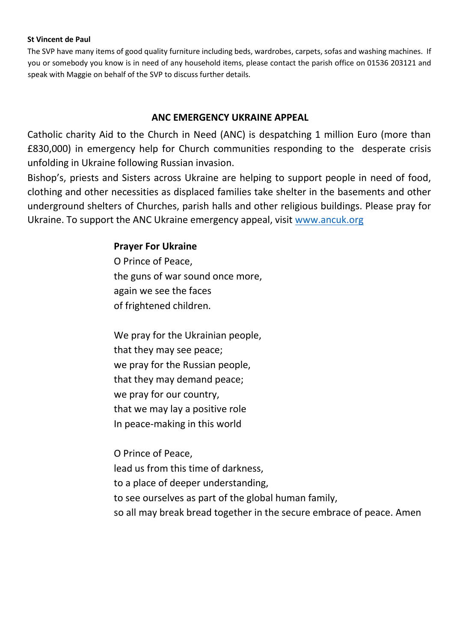#### **St Vincent de Paul**

The SVP have many items of good quality furniture including beds, wardrobes, carpets, sofas and washing machines. If you or somebody you know is in need of any household items, please contact the parish office on 01536 203121 and speak with Maggie on behalf of the SVP to discuss further details.

## **ANC EMERGENCY UKRAINE APPEAL**

Catholic charity Aid to the Church in Need (ANC) is despatching 1 million Euro (more than £830,000) in emergency help for Church communities responding to the desperate crisis unfolding in Ukraine following Russian invasion.

Bishop's, priests and Sisters across Ukraine are helping to support people in need of food, clothing and other necessities as displaced families take shelter in the basements and other underground shelters of Churches, parish halls and other religious buildings. Please pray for Ukraine. To support the ANC Ukraine emergency appeal, visit [www.ancuk.org](http://www.ancuk.org/)

## **Prayer For Ukraine**

O Prince of Peace, the guns of war sound once more, again we see the faces of frightened children.

We pray for the Ukrainian people, that they may see peace; we pray for the Russian people, that they may demand peace; we pray for our country, that we may lay a positive role In peace-making in this world

O Prince of Peace, lead us from this time of darkness, to a place of deeper understanding, to see ourselves as part of the global human family, so all may break bread together in the secure embrace of peace. Amen